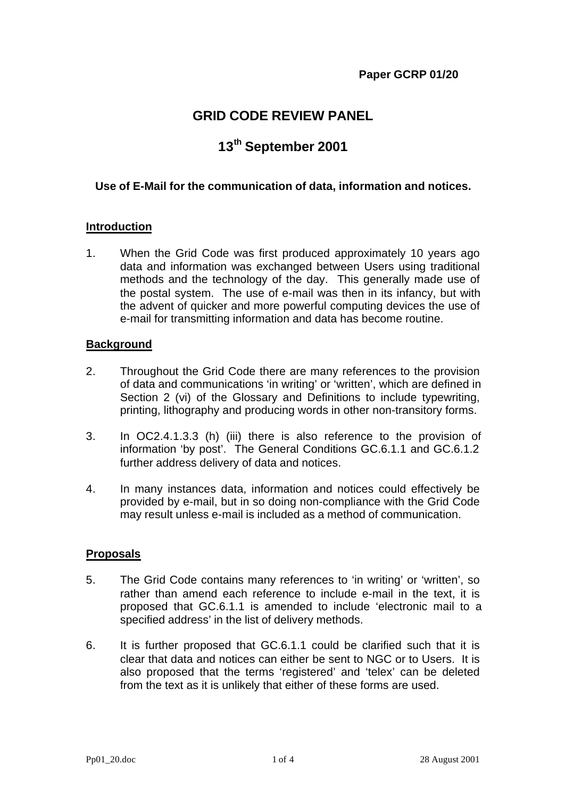## **GRID CODE REVIEW PANEL**

# **13th September 2001**

## **Use of E-Mail for the communication of data, information and notices.**

#### **Introduction**

1. When the Grid Code was first produced approximately 10 years ago data and information was exchanged between Users using traditional methods and the technology of the day. This generally made use of the postal system. The use of e-mail was then in its infancy, but with the advent of quicker and more powerful computing devices the use of e-mail for transmitting information and data has become routine.

#### **Background**

- 2. Throughout the Grid Code there are many references to the provision of data and communications 'in writing' or 'written', which are defined in Section 2 (vi) of the Glossary and Definitions to include typewriting, printing, lithography and producing words in other non-transitory forms.
- 3. In OC2.4.1.3.3 (h) (iii) there is also reference to the provision of information 'by post'. The General Conditions GC.6.1.1 and GC.6.1.2 further address delivery of data and notices.
- 4. In many instances data, information and notices could effectively be provided by e-mail, but in so doing non-compliance with the Grid Code may result unless e-mail is included as a method of communication.

### **Proposals**

- 5. The Grid Code contains many references to 'in writing' or 'written', so rather than amend each reference to include e-mail in the text, it is proposed that GC.6.1.1 is amended to include 'electronic mail to a specified address' in the list of delivery methods.
- 6. It is further proposed that GC.6.1.1 could be clarified such that it is clear that data and notices can either be sent to NGC or to Users. It is also proposed that the terms 'registered' and 'telex' can be deleted from the text as it is unlikely that either of these forms are used.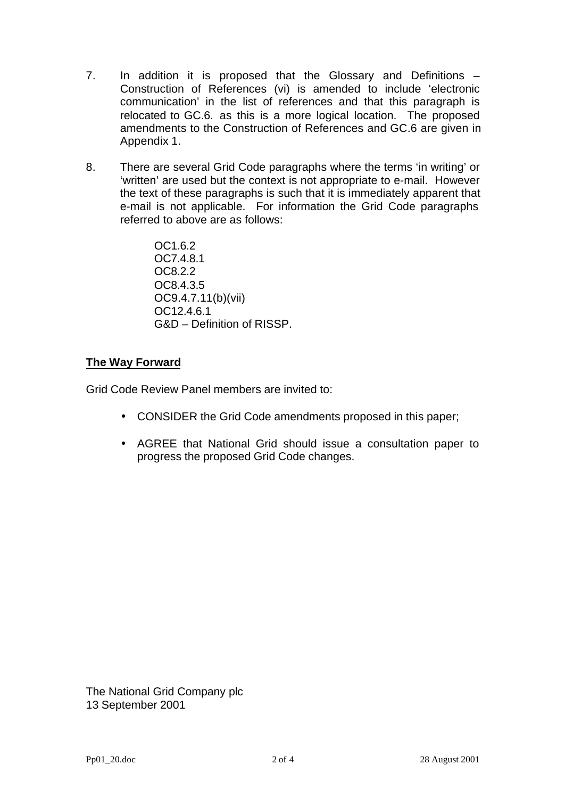- 7. In addition it is proposed that the Glossary and Definitions Construction of References (vi) is amended to include 'electronic communication' in the list of references and that this paragraph is relocated to GC.6. as this is a more logical location. The proposed amendments to the Construction of References and GC.6 are given in Appendix 1.
- 8. There are several Grid Code paragraphs where the terms 'in writing' or 'written' are used but the context is not appropriate to e-mail. However the text of these paragraphs is such that it is immediately apparent that e-mail is not applicable. For information the Grid Code paragraphs referred to above are as follows:

OC1.6.2 OC7.4.8.1 OC8.2.2 OC8.4.3.5 OC9.4.7.11(b)(vii) OC12.4.6.1 G&D – Definition of RISSP.

## **The Way Forward**

Grid Code Review Panel members are invited to:

- CONSIDER the Grid Code amendments proposed in this paper;
- AGREE that National Grid should issue a consultation paper to progress the proposed Grid Code changes.

The National Grid Company plc 13 September 2001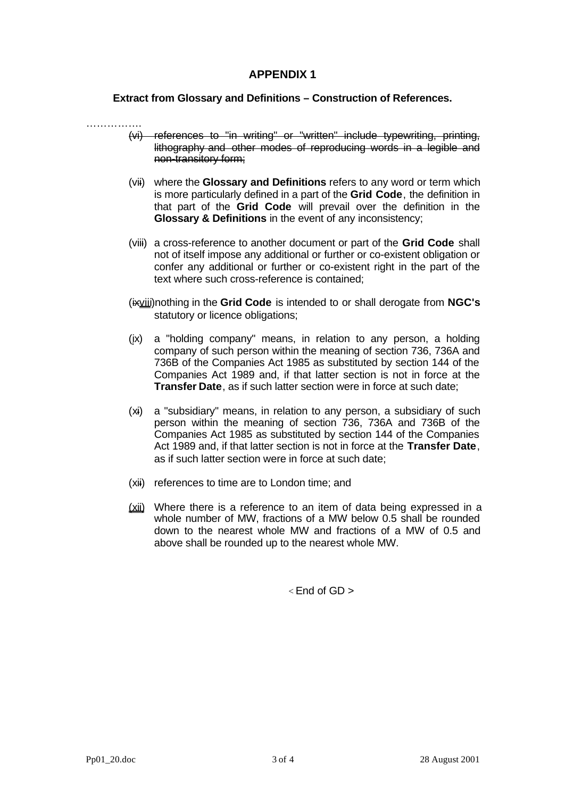## **APPENDIX 1**

**Extract from Glossary and Definitions – Construction of References.**

- ……………. (vi) references to "in writing" or "written" include typewriting, printing, lithography and other modes of reproducing words in a legible and non-transitory form;
	- (vii) where the **Glossary and Definitions** refers to any word or term which is more particularly defined in a part of the **Grid Code**, the definition in that part of the **Grid Code** will prevail over the definition in the **Glossary & Definitions** in the event of any inconsistency;
	- (viii) a cross-reference to another document or part of the **Grid Code** shall not of itself impose any additional or further or co-existent obligation or confer any additional or further or co-existent right in the part of the text where such cross-reference is contained;
	- (ixviii)nothing in the **Grid Code** is intended to or shall derogate from **NGC's** statutory or licence obligations;
	- (ix) a "holding company" means, in relation to any person, a holding company of such person within the meaning of section 736, 736A and 736B of the Companies Act 1985 as substituted by section 144 of the Companies Act 1989 and, if that latter section is not in force at the **Transfer Date**, as if such latter section were in force at such date;
	- (xi) a "subsidiary" means, in relation to any person, a subsidiary of such person within the meaning of section 736, 736A and 736B of the Companies Act 1985 as substituted by section 144 of the Companies Act 1989 and, if that latter section is not in force at the **Transfer Date**, as if such latter section were in force at such date;
	- (xii) references to time are to London time; and
	- (xii) Where there is a reference to an item of data being expressed in a whole number of MW, fractions of a MW below 0.5 shall be rounded down to the nearest whole MW and fractions of a MW of 0.5 and above shall be rounded up to the nearest whole MW.

 $\epsilon$  End of GD  $>$